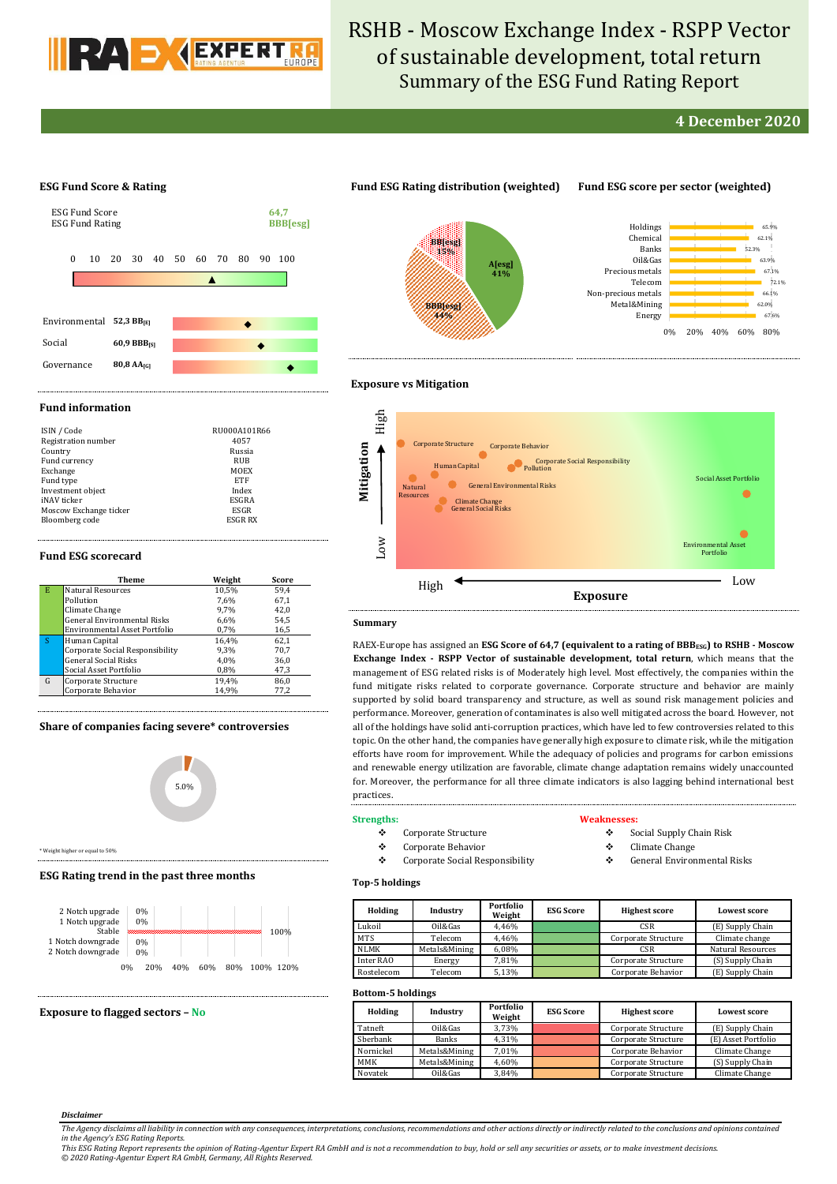

# RSHB - Moscow Exchange Index - RSPP Vector of sustainable development, total return Summary of the ESG Fund Rating Report

# **4 December 2020**

67.6% 62.0% 66.1%  $72.1%$  $67.1%$ 63.9% 52.3% 62.1% 65.9%

## **ESG Fund Score & Rating**



# **Fund ESG Rating distribution (weighted) Fund ESG score per sector (weighted)**



# **Exposure vs Mitigation**

#### **Fund information**

| ISIN / Code            | RU000A101R66   |
|------------------------|----------------|
| Registration number    | 4057           |
| Country                | Russia         |
| Fund currency          | RUB            |
| Exchange               | MOEX           |
| Fund type              | ETF            |
| Investment object      | Index          |
| iNAV ticker            | ESGRA          |
| Moscow Exchange ticker | ESGR           |
| Bloomberg code         | <b>ESGR RX</b> |

#### **Fund ESG scorecard**

|   | Theme                                | Weight | Score |
|---|--------------------------------------|--------|-------|
| Е | <b>Natural Resources</b>             | 10,5%  | 59.4  |
|   | Pollution                            | 7.6%   | 67.1  |
|   | Climate Change                       | 9.7%   | 42.0  |
|   | <b>General Environmental Risks</b>   | 6,6%   | 54,5  |
|   | <b>Environmental Asset Portfolio</b> | 0,7%   | 16,5  |
| S | Human Capital                        | 16.4%  | 62,1  |
|   | Corporate Social Responsibility      | 9.3%   | 70.7  |
|   | <b>General Social Risks</b>          | 4.0%   | 36,0  |
|   | Social Asset Portfolio               | 0,8%   | 47,3  |
| G | Corporate Structure                  | 19,4%  | 86,0  |
|   | Corporate Behavior                   | 14,9%  | 77,2  |

### **Share of companies facing severe\* controversies**



\* Weight higher or equal to 50%

#### **ESG Rating trend in the past three months**



## **Exposure to flagged sectors – No**



#### **Summary**

RAEX-Europe has assigned an **ESG Score of 64,7 (equivalent to a rating of BBBESG) to RSHB - Moscow Exchange Index - RSPP Vector of sustainable development, total return**, which means that the management of ESG related risks is of Moderately high level. Most effectively, the companies within the fund mitigate risks related to corporate governance. Corporate structure and behavior are mainly supported by solid board transparency and structure, as well as sound risk management policies and performance. Moreover, generation of contaminates is also well mitigated across the board. However, not all of the holdings have solid anti-corruption practices, which have led to few controversies related to this topic. On the other hand, the companies have generally high exposure to climate risk, while the mitigation efforts have room for improvement. While the adequacy of policies and programs for carbon emissions and renewable energy utilization are favorable, climate change adaptation remains widely unaccounted for. Moreover, the performance for all three climate indicators is also lagging behind international best practices.

#### **Strengths:**

- Corporate Structure
- Corporate Behavior
- Corporate Social Responsibility

#### **Weaknesses:**

- Social Supply Chain Risk
- Climate Change
- General Environmental Risks

# **Top-5 holdings**

| Holding    | Industry      | Portfolio<br>Weight | <b>ESG Score</b> | <b>Highest score</b> | <b>Lowest score</b>      |  |
|------------|---------------|---------------------|------------------|----------------------|--------------------------|--|
| Lukoil     | Oil&Gas       | 4.46%               |                  | CSR                  | (E) Supply Chain         |  |
| <b>MTS</b> | Telecom       | 4.46%               |                  | Corporate Structure  | Climate change           |  |
| NLMK       | Metals&Mining | 6.08%               |                  | CSR                  | <b>Natural Resources</b> |  |
| Inter RAO  | Energy        | 7.81%               |                  | Corporate Structure  | (S) Supply Chain         |  |
| Rostelecom | Telecom       | 5.13%               |                  | Corporate Behavior   | (E) Supply Chain         |  |

# **Bottom-5 holdings**

| 100        |               |                     |                  |                      |                     |  |  |  |  |  |
|------------|---------------|---------------------|------------------|----------------------|---------------------|--|--|--|--|--|
| Holding    | Industry      | Portfolio<br>Weight | <b>ESG Score</b> | <b>Highest score</b> | <b>Lowest score</b> |  |  |  |  |  |
| Tatneft    | Oil&Gas       | 3.73%               |                  | Corporate Structure  | (E) Supply Chain    |  |  |  |  |  |
| Sberbank   | <b>Banks</b>  | 4.31%               |                  | Corporate Structure  | (E) Asset Portfolio |  |  |  |  |  |
| Nornickel  | Metals&Mining | 7.01%               |                  | Corporate Behavior   | Climate Change      |  |  |  |  |  |
| <b>MMK</b> | Metals&Mining | 4,60%               |                  | Corporate Structure  | (S) Supply Chain    |  |  |  |  |  |
| Novatek    | Oil&Gas       | 3.84%               |                  | Corporate Structure  | Climate Change      |  |  |  |  |  |

#### *Disclaimer*

*© 2020 Rating-Agentur Expert RA GmbH, Germany, All Rights Reserved.*

*The Agency disclaims all liability in connection with any consequences, interpretations, conclusions, recommendations and other actions directly or indirectly related to the conclusions and opinions contained*  in the Agency's ESG Rating Reports.<br>This ESG Rating Report represents the opinion of Rating-Agentur Expert RA GmbH and is not a recommendation to buy, hold or sell any securities or assets, or to make investment decisions.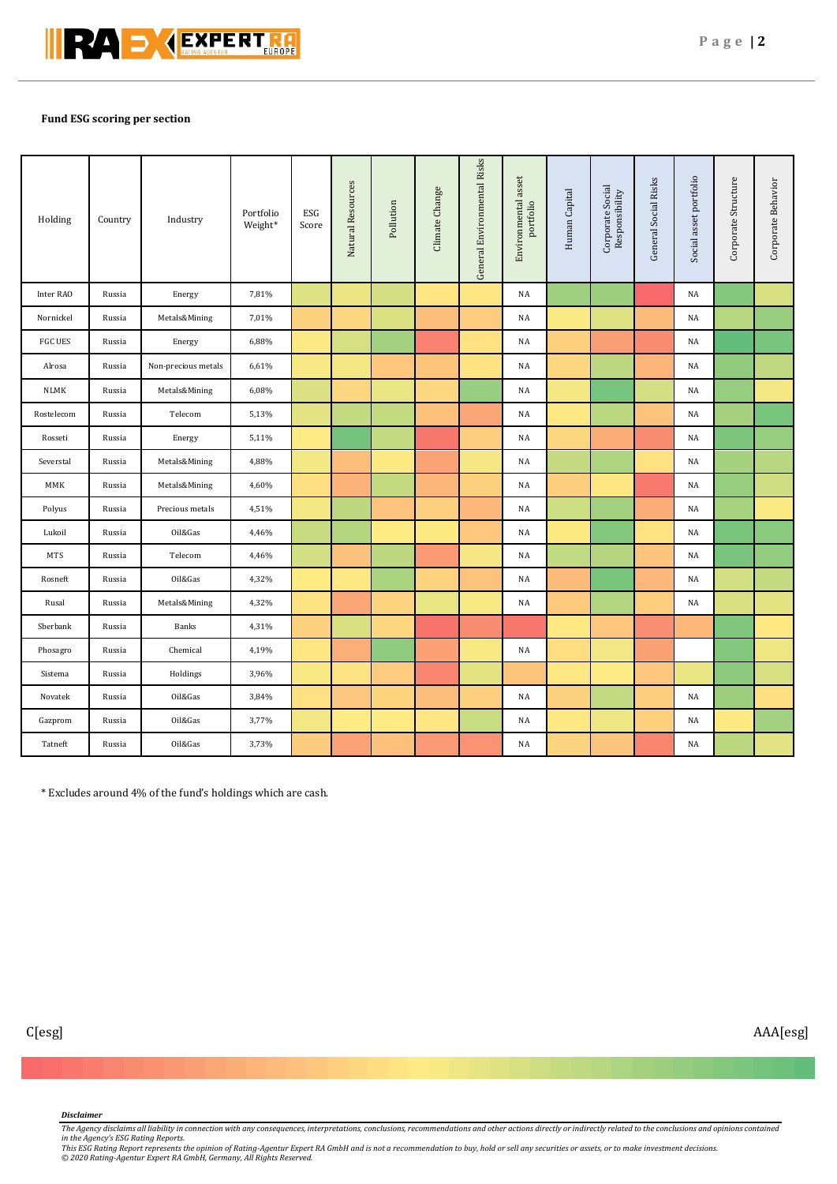

# **Fund ESG scoring per section**

| Holding        | Country | Industry            | Portfolio<br>Weight* | ESG<br>Score | Natural Resources | Pollution | Climate Change | General Environmental Risks | Environmental asset<br>portfolio | Human Capital | Corporate Social<br>Responsibility | General Social Risks | Social asset portfolio | Corporate Structure | Corporate Behavior |
|----------------|---------|---------------------|----------------------|--------------|-------------------|-----------|----------------|-----------------------------|----------------------------------|---------------|------------------------------------|----------------------|------------------------|---------------------|--------------------|
| Inter RAO      | Russia  | Energy              | 7,81%                |              |                   |           |                |                             | NA                               |               |                                    |                      | NA                     |                     |                    |
| Nornickel      | Russia  | Metals&Mining       | 7,01%                |              |                   |           |                |                             | NA                               |               |                                    |                      | NA                     |                     |                    |
| <b>FGC UES</b> | Russia  | Energy              | 6,88%                |              |                   |           |                |                             | NA                               |               |                                    |                      | NA                     |                     |                    |
| Alrosa         | Russia  | Non-precious metals | 6,61%                |              |                   |           |                |                             | NA                               |               |                                    |                      | NA                     |                     |                    |
| <b>NLMK</b>    | Russia  | Metals&Mining       | 6,08%                |              |                   |           |                |                             | NA                               |               |                                    |                      | NA                     |                     |                    |
| Rostelecom     | Russia  | Telecom             | 5,13%                |              |                   |           |                |                             | NA                               |               |                                    |                      | NA                     |                     |                    |
| Rosseti        | Russia  | Energy              | 5,11%                |              |                   |           |                |                             | NA                               |               |                                    |                      | NA                     |                     |                    |
| Severstal      | Russia  | Metals&Mining       | 4,88%                |              |                   |           |                |                             | NA                               |               |                                    |                      | NA                     |                     |                    |
| MMK            | Russia  | Metals&Mining       | 4,60%                |              |                   |           |                |                             | NA                               |               |                                    |                      | NA                     |                     |                    |
| Polyus         | Russia  | Precious metals     | 4,51%                |              |                   |           |                |                             | NA                               |               |                                    |                      | NA                     |                     |                    |
| Lukoil         | Russia  | Oil&Gas             | 4,46%                |              |                   |           |                |                             | NA                               |               |                                    |                      | $_{\rm NA}$            |                     |                    |
| <b>MTS</b>     | Russia  | Telecom             | 4,46%                |              |                   |           |                |                             | NA                               |               |                                    |                      | NA                     |                     |                    |
| Rosneft        | Russia  | Oil&Gas             | 4,32%                |              |                   |           |                |                             | NA                               |               |                                    |                      | NA                     |                     |                    |
| Rusal          | Russia  | Metals&Mining       | 4,32%                |              |                   |           |                |                             | NA                               |               |                                    |                      | NA                     |                     |                    |
| Sberbank       | Russia  | Banks               | 4,31%                |              |                   |           |                |                             |                                  |               |                                    |                      |                        |                     |                    |
| Phosagro       | Russia  | Chemical            | 4,19%                |              |                   |           |                |                             | NA                               |               |                                    |                      |                        |                     |                    |
| Sistema        | Russia  | Holdings            | 3,96%                |              |                   |           |                |                             |                                  |               |                                    |                      |                        |                     |                    |
| Novatek        | Russia  | Oil&Gas             | 3,84%                |              |                   |           |                |                             | NA                               |               |                                    |                      | NA                     |                     |                    |
| Gazprom        | Russia  | Oil&Gas             | 3,77%                |              |                   |           |                |                             | NA                               |               |                                    |                      | NA                     |                     |                    |
| Tatneft        | Russia  | Oil&Gas             | 3,73%                |              |                   |           |                |                             | NA                               |               |                                    |                      | NA                     |                     |                    |

\* Excludes around 4% of the fund's holdings which are cash.

# *Disclaimer*

*The Agency disclaims all liability in connection with any consequences, interpretations, conclusions, recommendations and other actions directly or indirectly related to the conclusions and opinions contained* 

in the Agency's ESG Rating Reports.<br>This ESG Rating Report represents the opinion of Rating-Agentur Expert RA GmbH and is not a recommendation to buy, hold or sell any securities or assets, or to make investment decisions.